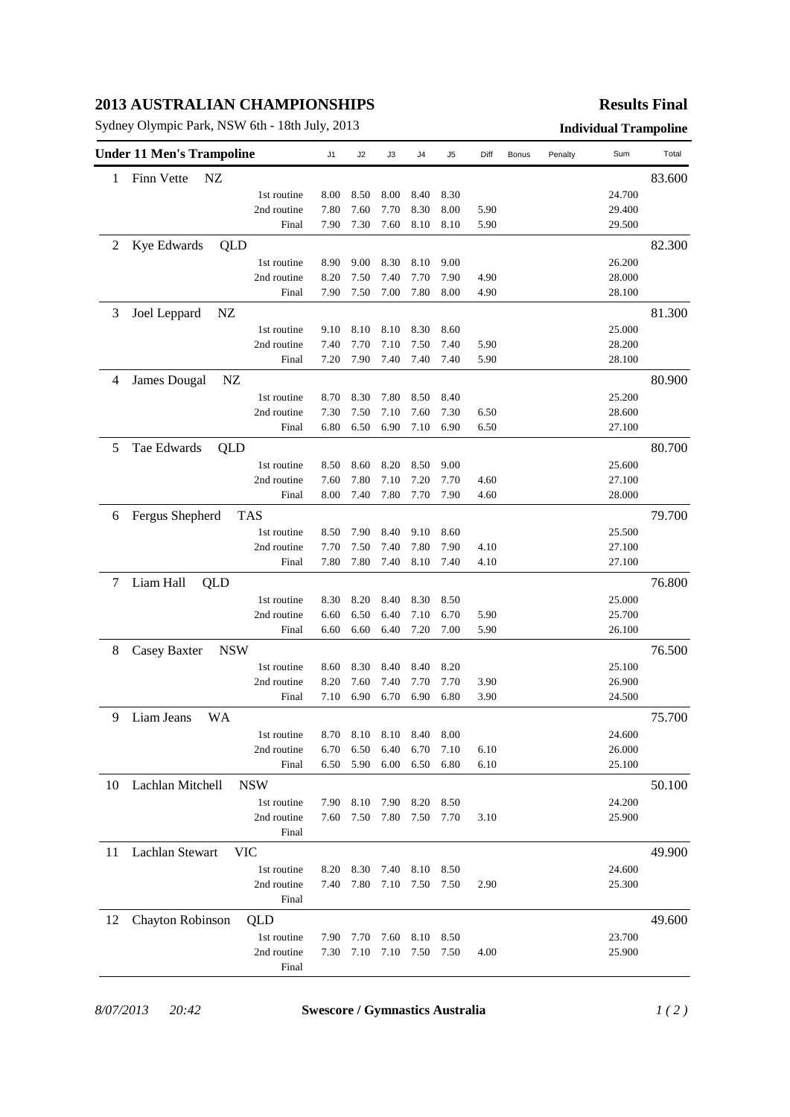## **2013 AUSTRALIAN CHAMPIONSHIPS**

Sydney Olympic Park, NSW 6th - 18th July, 2013 **Individual Trampoline**

## **Results Final**

|                                 | <b>Under 11 Men's Trampoline</b> | J1                         | J2   | J3   | J4   | J5   | Diff | Bonus | Penalty | Sum | Total  |        |
|---------------------------------|----------------------------------|----------------------------|------|------|------|------|------|-------|---------|-----|--------|--------|
| 1                               | Finn Vette<br>NZ                 |                            |      |      |      |      |      |       |         |     |        | 83.600 |
|                                 |                                  | 1st routine                | 8.00 | 8.50 | 8.00 | 8.40 | 8.30 |       |         |     | 24.700 |        |
|                                 |                                  | 2nd routine                | 7.80 | 7.60 | 7.70 | 8.30 | 8.00 | 5.90  |         |     | 29.400 |        |
|                                 |                                  | Final                      | 7.90 | 7.30 | 7.60 | 8.10 | 8.10 | 5.90  |         |     | 29.500 |        |
| 2                               | Kye Edwards<br>QLD               |                            |      |      |      |      |      |       |         |     |        | 82.300 |
|                                 |                                  | 1st routine                | 8.90 | 9.00 | 8.30 | 8.10 | 9.00 |       |         |     | 26.200 |        |
|                                 |                                  | 2nd routine                | 8.20 | 7.50 | 7.40 | 7.70 | 7.90 | 4.90  |         |     | 28.000 |        |
|                                 |                                  | Final                      | 7.90 | 7.50 | 7.00 | 7.80 | 8.00 | 4.90  |         |     | 28.100 |        |
| 3                               | Joel Leppard<br>NZ               |                            |      |      |      |      |      |       |         |     |        | 81.300 |
|                                 |                                  | 1st routine                | 9.10 | 8.10 | 8.10 | 8.30 | 8.60 |       |         |     | 25.000 |        |
|                                 |                                  | 2nd routine                | 7.40 | 7.70 | 7.10 | 7.50 | 7.40 | 5.90  |         |     | 28.200 |        |
|                                 |                                  | Final                      | 7.20 | 7.90 | 7.40 | 7.40 | 7.40 | 5.90  |         |     | 28.100 |        |
| 4                               | <b>James Dougal</b><br>NZ        |                            |      |      |      |      |      |       |         |     |        | 80.900 |
|                                 |                                  | 1st routine                | 8.70 | 8.30 | 7.80 | 8.50 | 8.40 |       |         |     | 25.200 |        |
|                                 |                                  | 2nd routine                | 7.30 | 7.50 | 7.10 | 7.60 | 7.30 | 6.50  |         |     | 28.600 |        |
|                                 |                                  | Final                      | 6.80 | 6.50 | 6.90 | 7.10 | 6.90 | 6.50  |         |     | 27.100 |        |
|                                 |                                  |                            |      |      |      |      |      |       |         |     |        |        |
| 5                               | Tae Edwards<br>QLD               |                            |      |      |      |      |      |       |         |     |        | 80.700 |
|                                 |                                  | 1st routine                | 8.50 | 8.60 | 8.20 | 8.50 | 9.00 |       |         |     | 25.600 |        |
|                                 |                                  | 2nd routine                | 7.60 | 7.80 | 7.10 | 7.20 | 7.70 | 4.60  |         |     | 27.100 |        |
|                                 |                                  | Final                      | 8.00 | 7.40 | 7.80 | 7.70 | 7.90 | 4.60  |         |     | 28.000 |        |
| 6                               | Fergus Shepherd                  | TAS                        |      |      |      |      |      |       |         |     |        | 79.700 |
|                                 |                                  | 1st routine                | 8.50 | 7.90 | 8.40 | 9.10 | 8.60 |       |         |     | 25.500 |        |
|                                 |                                  | 2nd routine                | 7.70 | 7.50 | 7.40 | 7.80 | 7.90 | 4.10  |         |     | 27.100 |        |
|                                 |                                  | Final                      | 7.80 | 7.80 | 7.40 | 8.10 | 7.40 | 4.10  |         |     | 27.100 |        |
| 7                               | Liam Hall<br>QLD                 |                            |      |      |      |      |      |       |         |     |        | 76.800 |
|                                 |                                  | 1st routine                | 8.30 | 8.20 | 8.40 | 8.30 | 8.50 |       |         |     | 25.000 |        |
|                                 |                                  | 2nd routine                | 6.60 | 6.50 | 6.40 | 7.10 | 6.70 | 5.90  |         |     | 25.700 |        |
|                                 |                                  | Final                      | 6.60 | 6.60 | 6.40 | 7.20 | 7.00 | 5.90  |         |     | 26.100 |        |
| 8<br>Casey Baxter<br><b>NSW</b> |                                  |                            |      |      |      |      |      |       |         |     |        | 76.500 |
|                                 |                                  | 1st routine                | 8.60 | 8.30 | 8.40 | 8.40 | 8.20 |       |         |     | 25.100 |        |
|                                 |                                  | 2nd routine                | 8.20 | 7.60 | 7.40 | 7.70 | 7.70 | 3.90  |         |     | 26.900 |        |
|                                 |                                  | Final                      | 7.10 | 6.90 | 6.70 | 6.90 | 6.80 | 3.90  |         |     | 24.500 |        |
| 9                               | <b>WA</b><br>Liam Jeans          |                            |      |      |      |      |      |       |         |     |        | 75.700 |
|                                 |                                  | 1st routine                | 8.70 | 8.10 | 8.10 | 8.40 | 8.00 |       |         |     | 24.600 |        |
|                                 |                                  | 2nd routine                | 6.70 | 6.50 | 6.40 | 6.70 | 7.10 | 6.10  |         |     | 26.000 |        |
|                                 |                                  | Final                      | 6.50 | 5.90 | 6.00 | 6.50 | 6.80 | 6.10  |         |     | 25.100 |        |
| 10                              | Lachlan Mitchell                 | <b>NSW</b>                 |      |      |      |      |      |       |         |     |        |        |
|                                 |                                  |                            |      |      |      |      |      |       |         |     |        | 50.100 |
|                                 |                                  | 1st routine<br>2nd routine | 7.90 | 8.10 | 7.90 | 8.20 | 8.50 |       |         |     | 24.200 |        |
|                                 |                                  | Final                      | 7.60 | 7.50 | 7.80 | 7.50 | 7.70 | 3.10  |         |     | 25.900 |        |
|                                 |                                  |                            |      |      |      |      |      |       |         |     |        |        |
| 11                              | Lachlan Stewart                  | <b>VIC</b>                 |      |      |      |      |      |       |         |     |        | 49.900 |
|                                 |                                  | 1st routine                | 8.20 | 8.30 | 7.40 | 8.10 | 8.50 |       |         |     | 24.600 |        |
|                                 |                                  | 2nd routine                | 7.40 | 7.80 | 7.10 | 7.50 | 7.50 | 2.90  |         |     | 25.300 |        |
|                                 |                                  | Final                      |      |      |      |      |      |       |         |     |        |        |
| 12                              | Chayton Robinson                 | QLD                        |      |      |      |      |      |       |         |     |        | 49.600 |
|                                 |                                  | 1st routine                | 7.90 | 7.70 | 7.60 | 8.10 | 8.50 |       |         |     | 23.700 |        |
|                                 |                                  | 2nd routine                | 7.30 | 7.10 | 7.10 | 7.50 | 7.50 | 4.00  |         |     | 25.900 |        |
|                                 |                                  | Final                      |      |      |      |      |      |       |         |     |        |        |